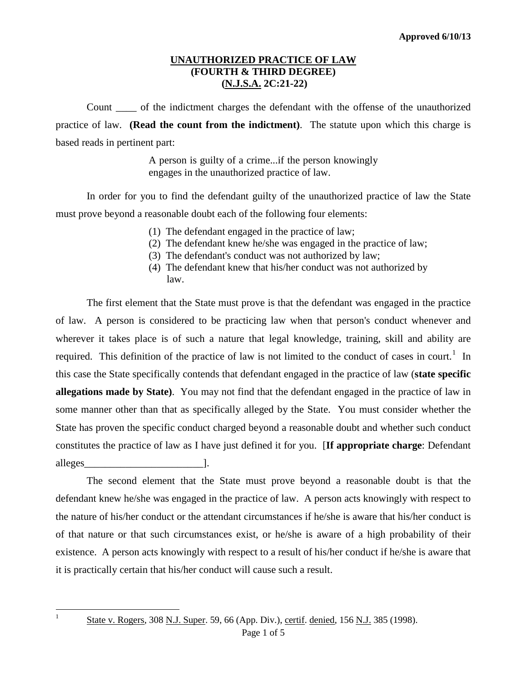## **UNAUTHORIZED PRACTICE OF LAW (FOURTH & THIRD DEGREE) (N.J.S.A. 2C:21-22)**

Count \_\_\_\_ of the indictment charges the defendant with the offense of the unauthorized practice of law. **(Read the count from the indictment)**. The statute upon which this charge is based reads in pertinent part:

> A person is guilty of a crime...if the person knowingly engages in the unauthorized practice of law.

In order for you to find the defendant guilty of the unauthorized practice of law the State must prove beyond a reasonable doubt each of the following four elements:

- (1) The defendant engaged in the practice of law;
- (2) The defendant knew he/she was engaged in the practice of law;
- (3) The defendant's conduct was not authorized by law;
- (4) The defendant knew that his/her conduct was not authorized by law.

The first element that the State must prove is that the defendant was engaged in the practice of law. A person is considered to be practicing law when that person's conduct whenever and wherever it takes place is of such a nature that legal knowledge, training, skill and ability are required. This definition of the practice of law is not limited to the conduct of cases in court.<sup>[1](#page-3-0)</sup> In this case the State specifically contends that defendant engaged in the practice of law (**state specific allegations made by State)**. You may not find that the defendant engaged in the practice of law in some manner other than that as specifically alleged by the State. You must consider whether the State has proven the specific conduct charged beyond a reasonable doubt and whether such conduct constitutes the practice of law as I have just defined it for you. [**If appropriate charge**: Defendant alleges 1.

The second element that the State must prove beyond a reasonable doubt is that the defendant knew he/she was engaged in the practice of law. A person acts knowingly with respect to the nature of his/her conduct or the attendant circumstances if he/she is aware that his/her conduct is of that nature or that such circumstances exist, or he/she is aware of a high probability of their existence. A person acts knowingly with respect to a result of his/her conduct if he/she is aware that it is practically certain that his/her conduct will cause such a result.

<span id="page-0-0"></span><sup>|&</sup>lt;br>|<br>|

<sup>&</sup>lt;sup>1</sup> State v. Rogers, 308 N.J. Super. 59, 66 (App. Div.), certif. denied, 156 N.J. 385 (1998).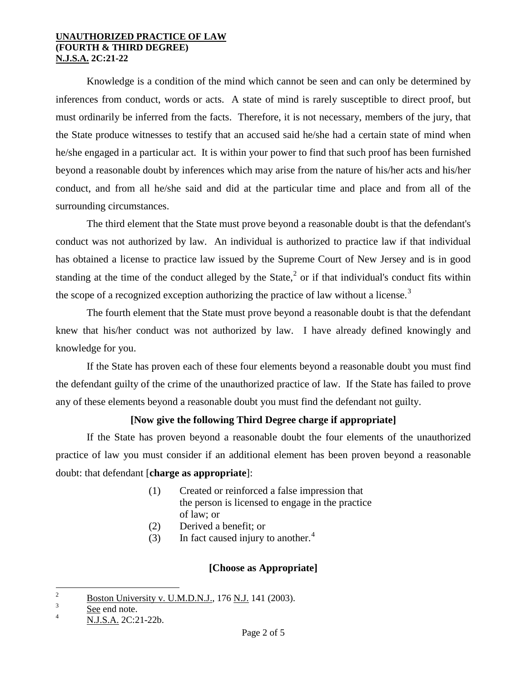### **UNAUTHORIZED PRACTICE OF LAW (FOURTH & THIRD DEGREE) N.J.S.A. 2C:21-22**

Knowledge is a condition of the mind which cannot be seen and can only be determined by inferences from conduct, words or acts. A state of mind is rarely susceptible to direct proof, but must ordinarily be inferred from the facts. Therefore, it is not necessary, members of the jury, that the State produce witnesses to testify that an accused said he/she had a certain state of mind when he/she engaged in a particular act. It is within your power to find that such proof has been furnished beyond a reasonable doubt by inferences which may arise from the nature of his/her acts and his/her conduct, and from all he/she said and did at the particular time and place and from all of the surrounding circumstances.

The third element that the State must prove beyond a reasonable doubt is that the defendant's conduct was not authorized by law. An individual is authorized to practice law if that individual has obtained a license to practice law issued by the Supreme Court of New Jersey and is in good standing at the time of the conduct alleged by the State,<sup>[2](#page-0-0)</sup> or if that individual's conduct fits within the scope of a recognized exception authorizing the practice of law without a license. $3$ 

The fourth element that the State must prove beyond a reasonable doubt is that the defendant knew that his/her conduct was not authorized by law. I have already defined knowingly and knowledge for you.

If the State has proven each of these four elements beyond a reasonable doubt you must find the defendant guilty of the crime of the unauthorized practice of law. If the State has failed to prove any of these elements beyond a reasonable doubt you must find the defendant not guilty.

# **[Now give the following Third Degree charge if appropriate]**

If the State has proven beyond a reasonable doubt the four elements of the unauthorized practice of law you must consider if an additional element has been proven beyond a reasonable doubt: that defendant [**charge as appropriate**]:

- (1) Created or reinforced a false impression that the person is licensed to engage in the practice of law; or
- (2) Derived a benefit; or
- (3) In fact caused injury to another. $4$

# **[Choose as Appropriate]**

 $\frac{1}{2}$  $^{2}$  Boston University v. U.M.D.N.J., 176 N.J. 141 (2003).

<span id="page-1-0"></span><sup>3</sup> See end note.

<span id="page-1-1"></span><sup>4</sup> N.J.S.A. 2C:21-22b.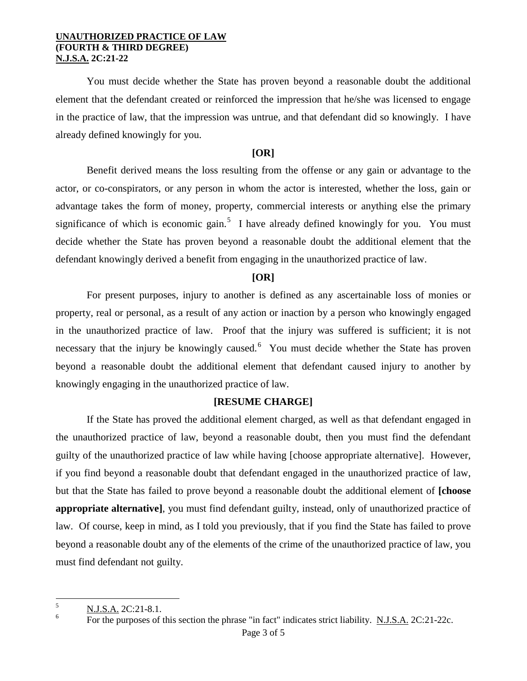#### **UNAUTHORIZED PRACTICE OF LAW (FOURTH & THIRD DEGREE) N.J.S.A. 2C:21-22**

You must decide whether the State has proven beyond a reasonable doubt the additional element that the defendant created or reinforced the impression that he/she was licensed to engage in the practice of law, that the impression was untrue, and that defendant did so knowingly. I have already defined knowingly for you.

## **[OR]**

Benefit derived means the loss resulting from the offense or any gain or advantage to the actor, or co-conspirators, or any person in whom the actor is interested, whether the loss, gain or advantage takes the form of money, property, commercial interests or anything else the primary significance of which is economic gain.<sup>[5](#page-1-0)</sup> I have already defined knowingly for you. You must decide whether the State has proven beyond a reasonable doubt the additional element that the defendant knowingly derived a benefit from engaging in the unauthorized practice of law.

### **[OR]**

For present purposes, injury to another is defined as any ascertainable loss of monies or property, real or personal, as a result of any action or inaction by a person who knowingly engaged in the unauthorized practice of law. Proof that the injury was suffered is sufficient; it is not necessary that the injury be knowingly caused. You must decide whether the State has proven beyond a reasonable doubt the additional element that defendant caused injury to another by knowingly engaging in the unauthorized practice of law.

### **[RESUME CHARGE]**

If the State has proved the additional element charged, as well as that defendant engaged in the unauthorized practice of law, beyond a reasonable doubt, then you must find the defendant guilty of the unauthorized practice of law while having [choose appropriate alternative]. However, if you find beyond a reasonable doubt that defendant engaged in the unauthorized practice of law, but that the State has failed to prove beyond a reasonable doubt the additional element of **[choose appropriate alternative]**, you must find defendant guilty, instead, only of unauthorized practice of law. Of course, keep in mind, as I told you previously, that if you find the State has failed to prove beyond a reasonable doubt any of the elements of the crime of the unauthorized practice of law, you must find defendant not guilty.

 $\frac{1}{5}$  $\frac{N.J.S.A.}{F}$  2C:21-8.1.

<span id="page-2-0"></span>For the purposes of this section the phrase "in fact" indicates strict liability. N.J.S.A. 2C:21-22c.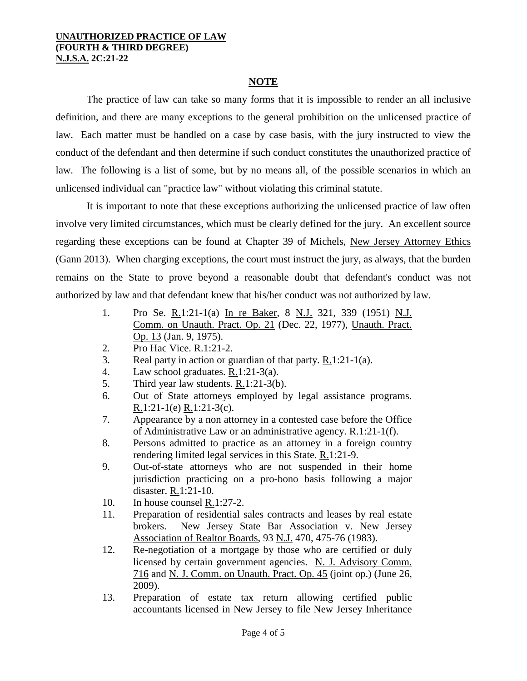#### **UNAUTHORIZED PRACTICE OF LAW (FOURTH & THIRD DEGREE) N.J.S.A. 2C:21-22**

## **NOTE**

The practice of law can take so many forms that it is impossible to render an all inclusive definition, and there are many exceptions to the general prohibition on the unlicensed practice of law. Each matter must be handled on a case by case basis, with the jury instructed to view the conduct of the defendant and then determine if such conduct constitutes the unauthorized practice of law. The following is a list of some, but by no means all, of the possible scenarios in which an unlicensed individual can "practice law" without violating this criminal statute.

It is important to note that these exceptions authorizing the unlicensed practice of law often involve very limited circumstances, which must be clearly defined for the jury. An excellent source regarding these exceptions can be found at Chapter 39 of Michels, New Jersey Attorney Ethics (Gann 2013). When charging exceptions, the court must instruct the jury, as always, that the burden remains on the State to prove beyond a reasonable doubt that defendant's conduct was not authorized by law and that defendant knew that his/her conduct was not authorized by law.

- 1. Pro Se. R.1:21-1(a) In re Baker, 8 N.J. 321, 339 (1951) N.J. Comm. on Unauth. Pract. Op. 21 (Dec. 22, 1977), Unauth. Pract. Op. 13 (Jan. 9, 1975).
- 2. Pro Hac Vice. R.1:21-2.
- 3. Real party in action or guardian of that party. R.1:21-1(a).
- 4. Law school graduates. R.1:21-3(a).
- 5. Third year law students. R.1:21-3(b).
- 6. Out of State attorneys employed by legal assistance programs. R.1:21-1(e) R.1:21-3(c).
- 7. Appearance by a non attorney in a contested case before the Office of Administrative Law or an administrative agency. R.1:21-1(f).
- 8. Persons admitted to practice as an attorney in a foreign country rendering limited legal services in this State. R.1:21-9.
- 9. Out-of-state attorneys who are not suspended in their home jurisdiction practicing on a pro-bono basis following a major disaster. R.1:21-10.
- 10. In house counsel R.1:27-2.
- 11. Preparation of residential sales contracts and leases by real estate brokers. New Jersey State Bar Association v. New Jersey Association of Realtor Boards, 93 N.J. 470, 475-76 (1983).
- 12. Re-negotiation of a mortgage by those who are certified or duly licensed by certain government agencies. N. J. Advisory Comm. 716 and N. J. Comm. on Unauth. Pract. Op. 45 (joint op.) (June 26, 2009).
- <span id="page-3-0"></span>13. Preparation of estate tax return allowing certified public accountants licensed in New Jersey to file New Jersey Inheritance